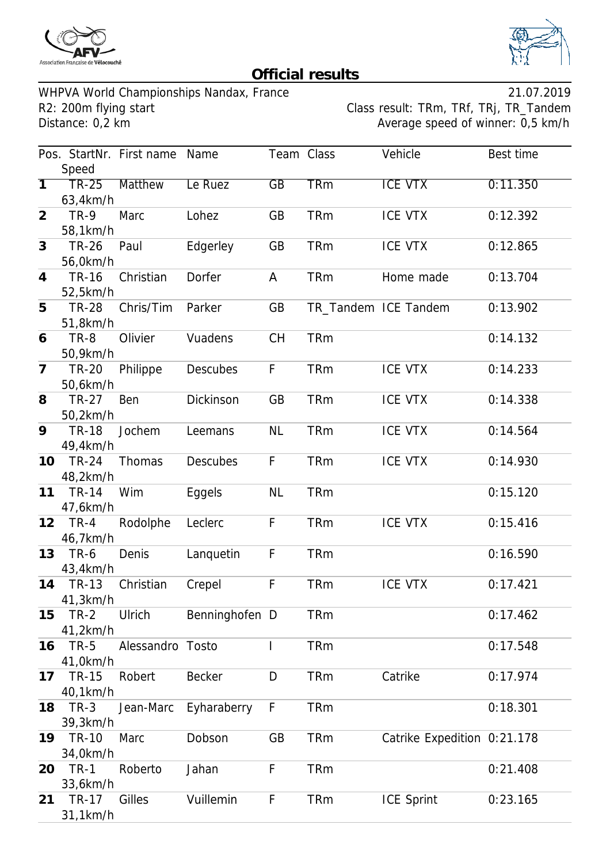



## **Official results**

WHPVA World Championships Nandax, France<br>R2: 200m flying start Class result: TRm, TRf, TRj, TR\_Tandem R2: 200m flying start Class result: TRm, TRf, TRj, TR\_Tandem<br>Distance: 0,2 km<br>Average speed of winner: 0,5 km/h

Average speed of winner: 0,5 km/h

|                |                          | Pos. StartNr. First name Name |                 | Team Class      |            | Vehicle                     | Best time |
|----------------|--------------------------|-------------------------------|-----------------|-----------------|------------|-----------------------------|-----------|
|                | Speed                    |                               |                 |                 |            |                             |           |
| $\overline{1}$ | $TR-25$<br>63,4km/h      | <b>Matthew</b>                | Le Ruez         | $\overline{GB}$ | <b>TRm</b> | <b>ICE VTX</b>              | 0:11.350  |
| $\overline{2}$ | <b>TR-9</b><br>58,1km/h  | Marc                          | Lohez           | GB              | <b>TRm</b> | <b>ICE VTX</b>              | 0:12.392  |
| 3              | <b>TR-26</b><br>56,0km/h | Paul                          | Edgerley        | GB              | <b>TRm</b> | <b>ICE VTX</b>              | 0:12.865  |
| $\overline{4}$ | <b>TR-16</b><br>52,5km/h | Christian                     | Dorfer          | A               | <b>TRm</b> | Home made                   | 0:13.704  |
| 5              | <b>TR-28</b><br>51,8km/h | Chris/Tim                     | Parker          | GB              |            | TR_Tandem ICE Tandem        | 0:13.902  |
| 6              | TR-8<br>50,9km/h         | Olivier                       | Vuadens         | <b>CH</b>       | <b>TRm</b> |                             | 0:14.132  |
| $\overline{7}$ | <b>TR-20</b><br>50,6km/h | Philippe                      | <b>Descubes</b> | F               | <b>TRm</b> | <b>ICE VTX</b>              | 0:14.233  |
| 8              | <b>TR-27</b><br>50,2km/h | Ben                           | Dickinson       | GB              | <b>TRm</b> | <b>ICE VTX</b>              | 0:14.338  |
| 9              | <b>TR-18</b><br>49,4km/h | Jochem                        | Leemans         | <b>NL</b>       | <b>TRm</b> | <b>ICE VTX</b>              | 0:14.564  |
| 10             | <b>TR-24</b><br>48,2km/h | Thomas                        | <b>Descubes</b> | F               | <b>TRm</b> | <b>ICE VTX</b>              | 0:14.930  |
| 11             | <b>TR-14</b><br>47,6km/h | Wim                           | Eggels          | <b>NL</b>       | <b>TRm</b> |                             | 0:15.120  |
| 12             | $TR-4$<br>46,7km/h       | Rodolphe                      | Leclerc         | F               | <b>TRm</b> | <b>ICE VTX</b>              | 0:15.416  |
| 13             | <b>TR-6</b><br>43,4km/h  | Denis                         | Lanquetin       | F               | <b>TRm</b> |                             | 0:16.590  |
| 14             | <b>TR-13</b><br>41,3km/h | Christian                     | Crepel          | F               | <b>TRm</b> | <b>ICE VTX</b>              | 0:17.421  |
| 15             | $TR-2$<br>41,2km/h       | Ulrich                        | Benninghofen D  |                 | <b>TRm</b> |                             | 0:17.462  |
| 16             | <b>TR-5</b><br>41,0km/h  | Alessandro                    | Tosto           | I               | <b>TRm</b> |                             | 0:17.548  |
| 17             | <b>TR-15</b><br>40,1km/h | Robert                        | <b>Becker</b>   | D               | <b>TRm</b> | Catrike                     | 0:17.974  |
| 18             | $TR-3$<br>39,3km/h       | Jean-Marc                     | Eyharaberry     | F               | <b>TRm</b> |                             | 0:18.301  |
| 19             | <b>TR-10</b><br>34,0km/h | Marc                          | Dobson          | GB              | <b>TRm</b> | Catrike Expedition 0:21.178 |           |
| 20             | <b>TR-1</b><br>33,6km/h  | Roberto                       | Jahan           | F               | <b>TRm</b> |                             | 0:21.408  |
| 21             | <b>TR-17</b><br>31,1km/h | Gilles                        | Vuillemin       | F               | <b>TRm</b> | <b>ICE Sprint</b>           | 0:23.165  |